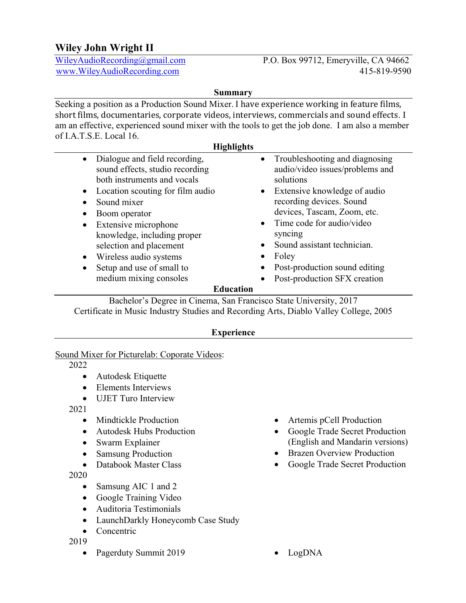# **Wiley John Wright II**

WileyAudioRecording@gmail.com P.O. Box 99712, Emeryville, CA 94662 www.WileyAudioRecording.com 415-819-9590

### **Summary**

Seeking a position as a Production Sound Mixer. I have experience working in feature films, short films, documentaries, corporate videos, interviews, commercials and sound effects. I am an effective, experienced sound mixer with the tools to get the job done. I am also a member of I.A.T.S.E. Local 16.

#### **Highlights**

|                                                               |                                                                                                                                                                                                                                     | o         |                                                                                                                                                                                                                                                      |  |
|---------------------------------------------------------------|-------------------------------------------------------------------------------------------------------------------------------------------------------------------------------------------------------------------------------------|-----------|------------------------------------------------------------------------------------------------------------------------------------------------------------------------------------------------------------------------------------------------------|--|
| $\bullet$                                                     | Dialogue and field recording,<br>sound effects, studio recording<br>both instruments and vocals                                                                                                                                     | $\bullet$ | Troubleshooting and diagnosing<br>audio/video issues/problems and<br>solutions                                                                                                                                                                       |  |
| $\bullet$<br>$\bullet$<br>$\bullet$<br>$\bullet$<br>$\bullet$ | Location scouting for film audio<br>Sound mixer<br>Boom operator<br>Extensive microphone<br>knowledge, including proper<br>selection and placement<br>Wireless audio systems<br>Setup and use of small to<br>medium mixing consoles | $\bullet$ | • Extensive knowledge of audio<br>recording devices. Sound<br>devices, Tascam, Zoom, etc.<br>$\bullet$ Time code for audio/video<br>syncing<br>Sound assistant technician.<br>Foley<br>Post-production sound editing<br>Post-production SFX creation |  |
| <b>Education</b>                                              |                                                                                                                                                                                                                                     |           |                                                                                                                                                                                                                                                      |  |
|                                                               |                                                                                                                                                                                                                                     |           |                                                                                                                                                                                                                                                      |  |

Bachelor's Degree in Cinema, San Francisco State University, 2017 Certificate in Music Industry Studies and Recording Arts, Diablo Valley College, 2005

### **Experience**

### Sound Mixer for Picturelab: Coporate Videos:

2022

- Autodesk Etiquette
- Elements Interviews
- UJET Turo Interview

2021

- Mindtickle Production
- Autodesk Hubs Production
- Swarm Explainer
- Samsung Production
- Databook Master Class

2020

- Samsung AIC 1 and 2
- Google Training Video
- Auditoria Testimonials
- LaunchDarkly Honeycomb Case Study
- Concentric

2019

• Pagerduty Summit 2019 • LogDNA

- Artemis pCell Production
- Google Trade Secret Production (English and Mandarin versions)
- Brazen Overview Production
- Google Trade Secret Production